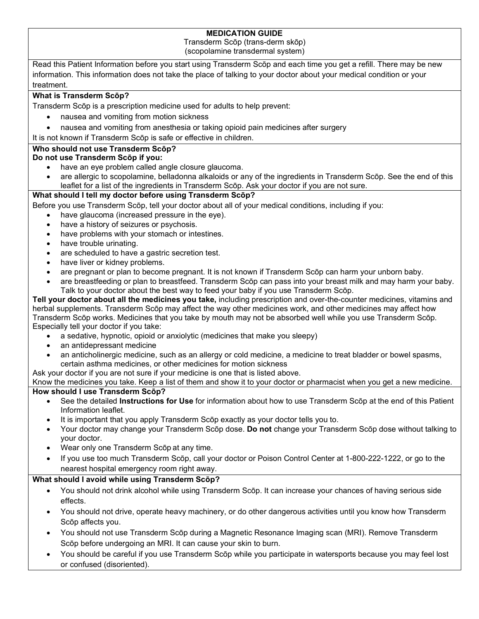## **MEDICATION GUIDE**

Transderm Scōp (trans-derm skōp)

(scopolamine transdermal system)

Read this Patient Information before you start using Transderm Scōp and each time you get a refill. There may be new information. This information does not take the place of talking to your doctor about your medical condition or your treatment.

### **What is Transderm Scōp?**

Transderm Scōp is a prescription medicine used for adults to help prevent:

- nausea and vomiting from motion sickness
- nausea and vomiting from anesthesia or taking opioid pain medicines after surgery
- It is not known if Transderm Scōp is safe or effective in children.

#### **Who should not use Transderm Scōp?**

**Do not use Transderm Scōp if you:**

- have an eye problem called angle closure glaucoma.
- are allergic to scopolamine, belladonna alkaloids or any of the ingredients in Transderm Scōp. See the end of this leaflet for a list of the ingredients in Transderm Scōp. Ask your doctor if you are not sure.

## **What should I tell my doctor before using Transderm Scōp?**

Before you use Transderm Scōp, tell your doctor about all of your medical conditions, including if you:

- have glaucoma (increased pressure in the eye).
- have a history of seizures or psychosis.
- have problems with your stomach or intestines.
- have trouble urinating.
- are scheduled to have a gastric secretion test.
- have liver or kidney problems.
- are pregnant or plan to become pregnant. It is not known if Transderm Scōp can harm your unborn baby.
- are breastfeeding or plan to breastfeed. Transderm Scōp can pass into your breast milk and may harm your baby. Talk to your doctor about the best way to feed your baby if you use Transderm Scōp.

**Tell your doctor about all the medicines you take,** including prescription and over-the-counter medicines, vitamins and herbal supplements. Transderm Scōp may affect the way other medicines work, and other medicines may affect how Transderm Scōp works. Medicines that you take by mouth may not be absorbed well while you use Transderm Scōp. Especially tell your doctor if you take:

- a sedative, hypnotic, opioid or anxiolytic (medicines that make you sleepy)
- an antidepressant medicine
- an anticholinergic medicine, such as an allergy or cold medicine, a medicine to treat bladder or bowel spasms, certain asthma medicines, or other medicines for motion sickness
- Ask your doctor if you are not sure if your medicine is one that is listed above.

Know the medicines you take. Keep a list of them and show it to your doctor or pharmacist when you get a new medicine. **How should I use Transderm Scōp?**

- See the detailed **Instructions for Use** for information about how to use Transderm Scōp at the end of this Patient Information leaflet.
- It is important that you apply Transderm Scōp exactly as your doctor tells you to.
- Your doctor may change your Transderm Scōp dose. **Do not** change your Transderm Scōp dose without talking to your doctor.
- Wear only one Transderm Scōp at any time.
- If you use too much Transderm Scōp, call your doctor or Poison Control Center at 1-800-222-1222, or go to the nearest hospital emergency room right away.

## **What should I avoid while using Transderm Scōp?**

- You should not drink alcohol while using Transderm Scōp. It can increase your chances of having serious side effects.
- You should not drive, operate heavy machinery, or do other dangerous activities until you know how Transderm Scōp affects you.
- You should not use Transderm Scōp during a Magnetic Resonance Imaging scan (MRI). Remove Transderm Scōp before undergoing an MRI. It can cause your skin to burn.
- You should be careful if you use Transderm Scōp while you participate in watersports because you may feel lost or confused (disoriented).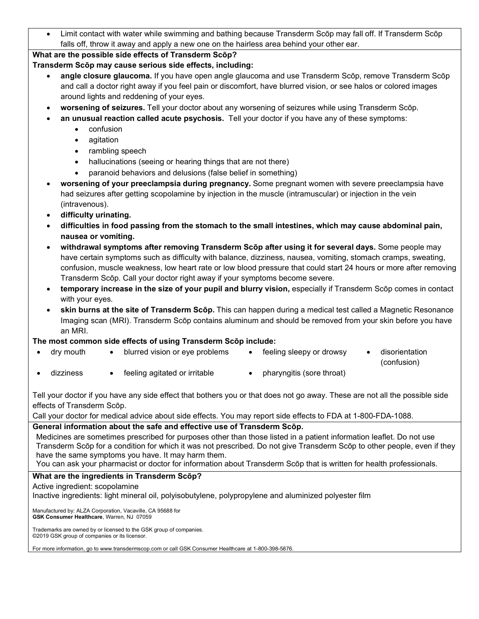• Limit contact with water while swimming and bathing because Transderm Scōp may fall off. If Transderm Scōp falls off, throw it away and apply a new one on the hairless area behind your other ear.

## **What are the possible side effects of Transderm Scōp?**

## **Transderm Scōp may cause serious side effects, including:**

- **angle closure glaucoma.** If you have open angle glaucoma and use Transderm Scōp, remove Transderm Scōp and call a doctor right away if you feel pain or discomfort, have blurred vision, or see halos or colored images around lights and reddening of your eyes.
- **worsening of seizures.** Tell your doctor about any worsening of seizures while using Transderm Scōp.
- **an unusual reaction called acute psychosis.** Tell your doctor if you have any of these symptoms:
	- confusion
	- agitation
	- rambling speech
	- hallucinations (seeing or hearing things that are not there)
	- paranoid behaviors and delusions (false belief in something)
- **worsening of your preeclampsia during pregnancy.** Some pregnant women with severe preeclampsia have had seizures after getting scopolamine by injection in the muscle (intramuscular) or injection in the vein (intravenous).
- **difficulty urinating.**
- **difficulties in food passing from the stomach to the small intestines, which may cause abdominal pain, nausea or vomiting.**
- **withdrawal symptoms after removing Transderm Scōp after using it for several days.** Some people may have certain symptoms such as difficulty with balance, dizziness, nausea, vomiting, stomach cramps, sweating, confusion, muscle weakness, low heart rate or low blood pressure that could start 24 hours or more after removing Transderm Scōp. Call your doctor right away if your symptoms become severe.
- **temporary increase in the size of your pupil and blurry vision,** especially if Transderm Scōp comes in contact with your eyes.
- **skin burns at the site of Transderm Scōp.** This can happen during a medical test called a Magnetic Resonance Imaging scan (MRI). Transderm Scōp contains aluminum and should be removed from your skin before you have an MRI.

# **The most common side effects of using Transderm Scōp include:**

- dry mouth blurred vision or eye problems feeling sleepy or drowsy disorientation
	- (confusion)
	- dizziness feeling agitated or irritable pharyngitis (sore throat)
		-

Tell your doctor if you have any side effect that bothers you or that does not go away. These are not all the possible side effects of Transderm Scōp.

Call your doctor for medical advice about side effects. You may report side effects to FDA at 1-800-FDA-1088.

# **General information about the safe and effective use of Transderm Scōp.**

Medicines are sometimes prescribed for purposes other than those listed in a patient information leaflet. Do not use Transderm Scōp for a condition for which it was not prescribed. Do not give Transderm Scōp to other people, even if they have the same symptoms you have. It may harm them.

You can ask your pharmacist or doctor for information about Transderm Scōp that is written for health professionals.

# **What are the ingredients in Transderm Scōp?**

# Active ingredient: scopolamine

Inactive ingredients: light mineral oil, polyisobutylene, polypropylene and aluminized polyester film

Manufactured by: ALZA Corporation, Vacaville, CA 95688 for **GSK Consumer Healthcare**, Warren, NJ 07059

Trademarks are owned by or licensed to the GSK group of companies. ©2019 GSK group of companies or its licensor.

For more information, go to www.transdermscop.com or call GSK Consumer Healthcare at 1-800-398-5876.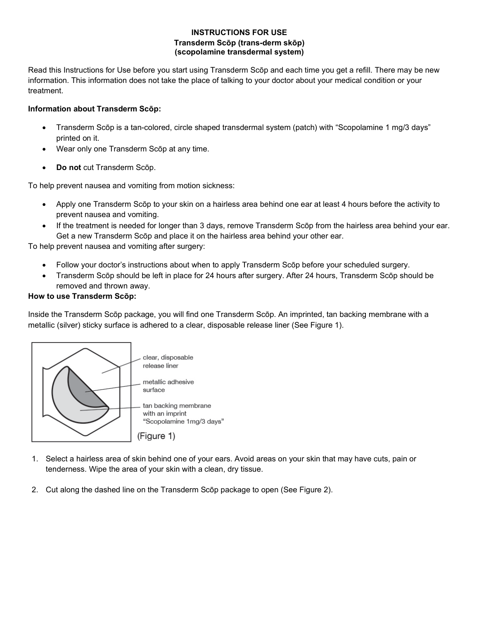#### **INSTRUCTIONS FOR USE Transderm Scōp (trans-derm skōp) (scopolamine transdermal system)**

Read this Instructions for Use before you start using Transderm Scōp and each time you get a refill. There may be new information. This information does not take the place of talking to your doctor about your medical condition or your treatment.

#### **Information about Transderm Scōp:**

- Transderm Scōp is a tan-colored, circle shaped transdermal system (patch) with "Scopolamine 1 mg/3 days" printed on it.
- Wear only one Transderm Scōp at any time.
- **Do not** cut Transderm Scōp.

To help prevent nausea and vomiting from motion sickness:

- Apply one Transderm Scōp to your skin on a hairless area behind one ear at least 4 hours before the activity to prevent nausea and vomiting.
- If the treatment is needed for longer than 3 days, remove Transderm Scōp from the hairless area behind your ear. Get a new Transderm Scōp and place it on the hairless area behind your other ear.

To help prevent nausea and vomiting after surgery:

- Follow your doctor's instructions about when to apply Transderm Scōp before your scheduled surgery.
- Transderm Scōp should be left in place for 24 hours after surgery. After 24 hours, Transderm Scōp should be removed and thrown away.

## **How to use Transderm Scōp:**

Inside the Transderm Scōp package, you will find one Transderm Scōp. An imprinted, tan backing membrane with a metallic (silver) sticky surface is adhered to a clear, disposable release liner (See Figure 1).



- 1. Select a hairless area of skin behind one of your ears. Avoid areas on your skin that may have cuts, pain or tenderness. Wipe the area of your skin with a clean, dry tissue.
- 2. Cut along the dashed line on the Transderm Scōp package to open (See Figure 2).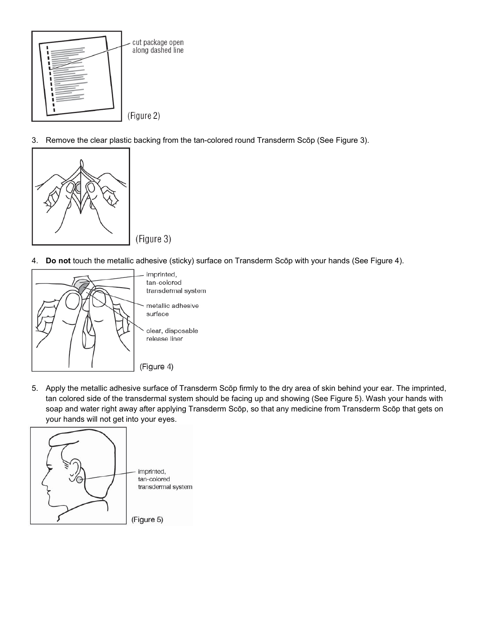

3. Remove the clear plastic backing from the tan-colored round Transderm Scōp (See Figure 3).



4. **Do not** touch the metallic adhesive (sticky) surface on Transderm Scōp with your hands (See Figure 4).



5. Apply the metallic adhesive surface of Transderm Scōp firmly to the dry area of skin behind your ear. The imprinted, tan colored side of the transdermal system should be facing up and showing (See Figure 5). Wash your hands with soap and water right away after applying Transderm Scōp, so that any medicine from Transderm Scōp that gets on your hands will not get into your eyes.